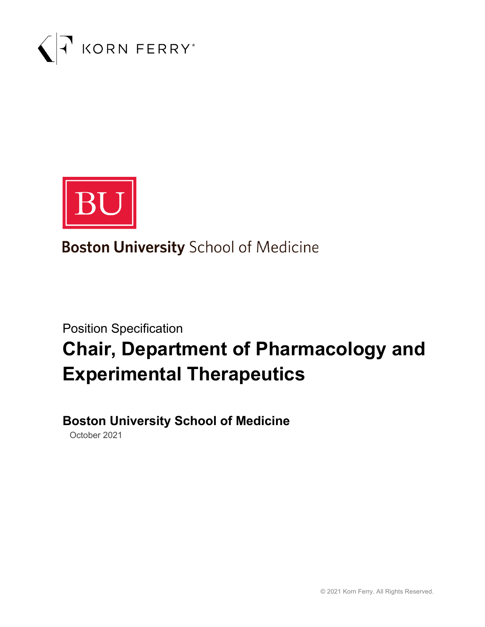



**Boston University School of Medicine** 

# Position Specification **Chair, Department of Pharmacology and Experimental Therapeutics**

## **Boston University School of Medicine**

October 2021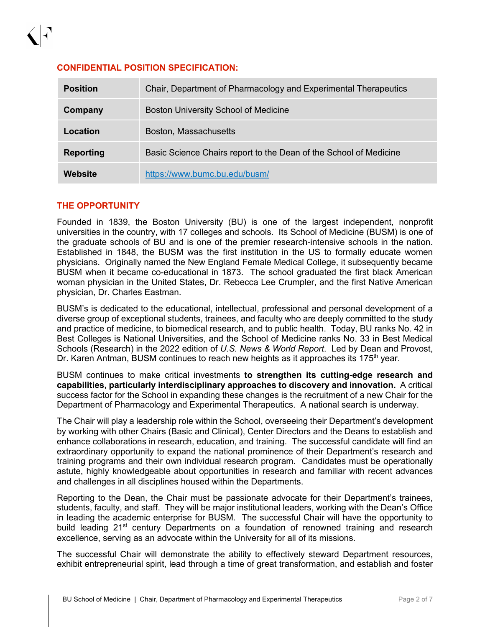| <b>Position</b>  | Chair, Department of Pharmacology and Experimental Therapeutics   |
|------------------|-------------------------------------------------------------------|
| Company          | <b>Boston University School of Medicine</b>                       |
| Location         | Boston, Massachusetts                                             |
| <b>Reporting</b> | Basic Science Chairs report to the Dean of the School of Medicine |
| Website          | https://www.bumc.bu.edu/busm/                                     |

#### **THE OPPORTUNITY**

Founded in 1839, the Boston University (BU) is one of the largest independent, nonprofit universities in the country, with 17 colleges and schools. Its School of Medicine (BUSM) is one of the graduate schools of BU and is one of the premier research-intensive schools in the nation. Established in 1848, the BUSM was the first institution in the US to formally educate women physicians. Originally named the New England Female Medical College, it subsequently became BUSM when it became co-educational in 1873. The school graduated the first black American woman physician in the United States, Dr. Rebecca Lee Crumpler, and the first Native American physician, Dr. Charles Eastman.

BUSM's is dedicated to the educational, intellectual, professional and personal development of a diverse group of exceptional students, trainees, and faculty who are deeply committed to the study and practice of medicine, to biomedical research, and to public health. Today, BU ranks No. 42 in Best Colleges is National Universities, and the School of Medicine ranks No. 33 in Best Medical Schools (Research) in the 2022 edition of *U.S. News & World Report*. Led by Dean and Provost, Dr. Karen Antman, BUSM continues to reach new heights as it approaches its 175<sup>th</sup> year.

BUSM continues to make critical investments **to strengthen its cutting-edge research and capabilities, particularly interdisciplinary approaches to discovery and innovation.** A critical success factor for the School in expanding these changes is the recruitment of a new Chair for the Department of Pharmacology and Experimental Therapeutics. A national search is underway.

The Chair will play a leadership role within the School, overseeing their Department's development by working with other Chairs (Basic and Clinical), Center Directors and the Deans to establish and enhance collaborations in research, education, and training. The successful candidate will find an extraordinary opportunity to expand the national prominence of their Department's research and training programs and their own individual research program. Candidates must be operationally astute, highly knowledgeable about opportunities in research and familiar with recent advances and challenges in all disciplines housed within the Departments.

Reporting to the Dean, the Chair must be passionate advocate for their Department's trainees, students, faculty, and staff. They will be major institutional leaders, working with the Dean's Office in leading the academic enterprise for BUSM. The successful Chair will have the opportunity to build leading 21<sup>st</sup> century Departments on a foundation of renowned training and research excellence, serving as an advocate within the University for all of its missions.

The successful Chair will demonstrate the ability to effectively steward Department resources, exhibit entrepreneurial spirit, lead through a time of great transformation, and establish and foster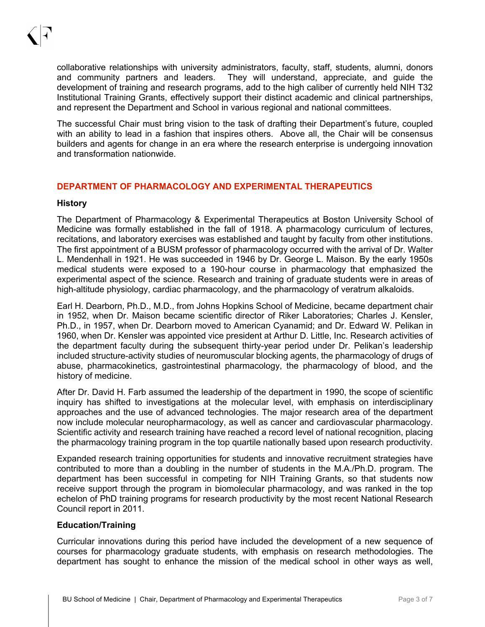collaborative relationships with university administrators, faculty, staff, students, alumni, donors and community partners and leaders. They will understand, appreciate, and guide the development of training and research programs, add to the high caliber of currently held NIH T32 Institutional Training Grants, effectively support their distinct academic and clinical partnerships, and represent the Department and School in various regional and national committees.

The successful Chair must bring vision to the task of drafting their Department's future, coupled with an ability to lead in a fashion that inspires others. Above all, the Chair will be consensus builders and agents for change in an era where the research enterprise is undergoing innovation and transformation nationwide.

#### **DEPARTMENT OF PHARMACOLOGY AND EXPERIMENTAL THERAPEUTICS**

#### **History**

The Department of Pharmacology & Experimental Therapeutics at Boston University School of Medicine was formally established in the fall of 1918. A pharmacology curriculum of lectures, recitations, and laboratory exercises was established and taught by faculty from other institutions. The first appointment of a BUSM professor of pharmacology occurred with the arrival of Dr. Walter L. Mendenhall in 1921. He was succeeded in 1946 by Dr. George L. Maison. By the early 1950s medical students were exposed to a 190-hour course in pharmacology that emphasized the experimental aspect of the science. Research and training of graduate students were in areas of high-altitude physiology, cardiac pharmacology, and the pharmacology of veratrum alkaloids.

Earl H. Dearborn, Ph.D., M.D., from Johns Hopkins School of Medicine, became department chair in 1952, when Dr. Maison became scientific director of Riker Laboratories; Charles J. Kensler, Ph.D., in 1957, when Dr. Dearborn moved to American Cyanamid; and Dr. Edward W. Pelikan in 1960, when Dr. Kensler was appointed vice president at Arthur D. Little, Inc. Research activities of the department faculty during the subsequent thirty-year period under Dr. Pelikan's leadership included structure-activity studies of neuromuscular blocking agents, the pharmacology of drugs of abuse, pharmacokinetics, gastrointestinal pharmacology, the pharmacology of blood, and the history of medicine.

After Dr. David H. Farb assumed the leadership of the department in 1990, the scope of scientific inquiry has shifted to investigations at the molecular level, with emphasis on interdisciplinary approaches and the use of advanced technologies. The major research area of the department now include molecular neuropharmacology, as well as cancer and cardiovascular pharmacology. Scientific activity and research training have reached a record level of national recognition, placing the pharmacology training program in the top quartile nationally based upon research productivity.

Expanded research training opportunities for students and innovative recruitment strategies have contributed to more than a doubling in the number of students in the M.A./Ph.D. program. The department has been successful in competing for NIH Training Grants, so that students now receive support through the program in biomolecular pharmacology, and was ranked in the top echelon of PhD training programs for research productivity by the most recent National Research Council report in 2011.

#### **Education/Training**

Curricular innovations during this period have included the development of a new sequence of courses for pharmacology graduate students, with emphasis on research methodologies. The department has sought to enhance the mission of the medical school in other ways as well,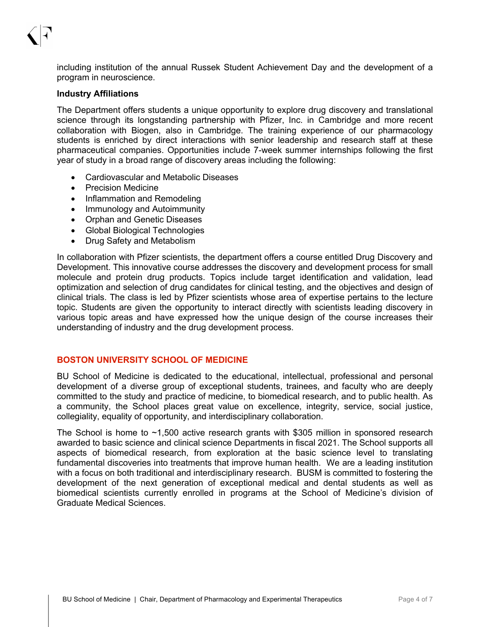including institution of the annual Russek Student Achievement Day and the development of a program in neuroscience.

#### **Industry Affiliations**

The Department offers students a unique opportunity to explore drug discovery and translational science through its longstanding partnership with Pfizer, Inc. in Cambridge and more recent collaboration with Biogen, also in Cambridge. The training experience of our pharmacology students is enriched by direct interactions with senior leadership and research staff at these pharmaceutical companies. Opportunities include 7-week summer internships following the first year of study in a broad range of discovery areas including the following:

- Cardiovascular and Metabolic Diseases
- Precision Medicine
- Inflammation and Remodeling
- Immunology and Autoimmunity
- Orphan and Genetic Diseases
- Global Biological Technologies
- Drug Safety and Metabolism

In collaboration with Pfizer scientists, the department offers a course entitled Drug Discovery and Development. This innovative course addresses the discovery and development process for small molecule and protein drug products. Topics include target identification and validation, lead optimization and selection of drug candidates for clinical testing, and the objectives and design of clinical trials. The class is led by Pfizer scientists whose area of expertise pertains to the lecture topic. Students are given the opportunity to interact directly with scientists leading discovery in various topic areas and have expressed how the unique design of the course increases their understanding of industry and the drug development process.

#### **BOSTON UNIVERSITY SCHOOL OF MEDICINE**

BU School of Medicine is dedicated to the educational, intellectual, professional and personal development of a diverse group of exceptional students, trainees, and faculty who are deeply committed to the study and practice of medicine, to biomedical research, and to public health. As a community, the School places great value on excellence, integrity, service, social justice, collegiality, equality of opportunity, and interdisciplinary collaboration.

The School is home to ~1,500 active research grants with \$305 million in sponsored research awarded to basic science and clinical science Departments in fiscal 2021. The School supports all aspects of biomedical research, from exploration at the basic science level to translating fundamental discoveries into treatments that improve human health. We are a leading institution with a focus on both traditional and interdisciplinary research. BUSM is committed to fostering the development of the next generation of exceptional medical and dental students as well as biomedical scientists currently enrolled in programs at the School of Medicine's division of Graduate Medical Sciences.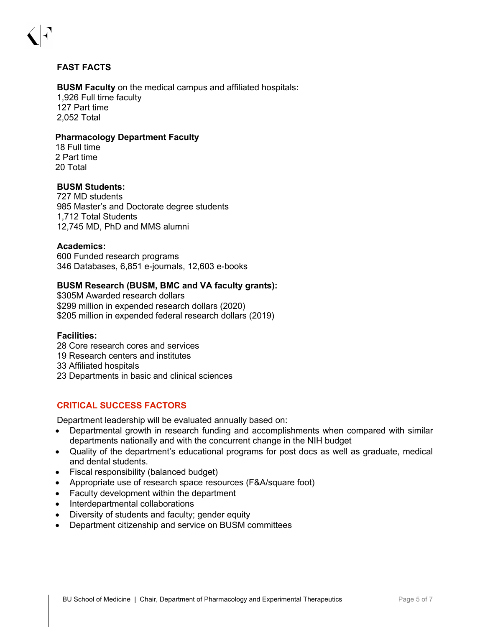#### **FAST FACTS**

#### **BUSM Faculty** on the medical campus and affiliated hospitals**:** 1,926 Full time faculty 127 Part time 2,052 Total

#### **Pharmacology Department Faculty**

18 Full time 2 Part time 20 Total

#### **BUSM Students:**

727 MD students 985 Master's and Doctorate degree students 1,712 Total Students 12,745 MD, PhD and MMS alumni

#### **Academics:**

600 Funded research programs 346 Databases, 6,851 e-journals, 12,603 e-books

#### **BUSM Research (BUSM, BMC and VA faculty grants):**

\$305M Awarded research dollars \$299 million in expended research dollars (2020) \$205 million in expended federal research dollars (2019)

#### **Facilities:**

- 28 Core research cores and services
- 19 Research centers and institutes
- 33 Affiliated hospitals
- 23 Departments in basic and clinical sciences

#### **CRITICAL SUCCESS FACTORS**

Department leadership will be evaluated annually based on:

- Departmental growth in research funding and accomplishments when compared with similar departments nationally and with the concurrent change in the NIH budget
- Quality of the department's educational programs for post docs as well as graduate, medical and dental students.
- Fiscal responsibility (balanced budget)
- Appropriate use of research space resources (F&A/square foot)
- Faculty development within the department
- Interdepartmental collaborations
- Diversity of students and faculty; gender equity
- Department citizenship and service on BUSM committees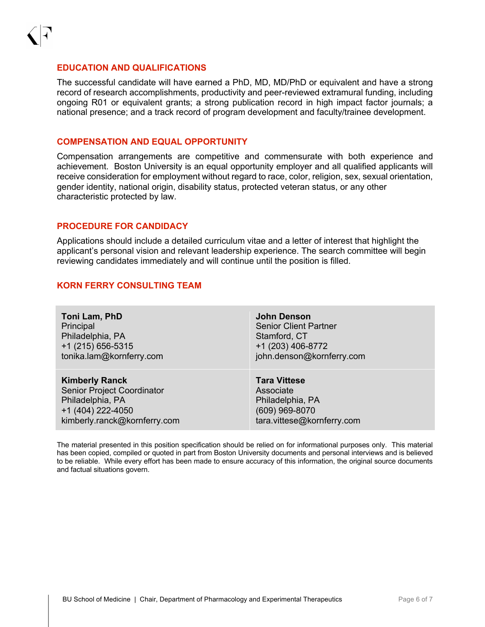#### **EDUCATION AND QUALIFICATIONS**

The successful candidate will have earned a PhD, MD, MD/PhD or equivalent and have a strong record of research accomplishments, productivity and peer-reviewed extramural funding, including ongoing R01 or equivalent grants; a strong publication record in high impact factor journals; a national presence; and a track record of program development and faculty/trainee development.

#### **COMPENSATION AND EQUAL OPPORTUNITY**

Compensation arrangements are competitive and commensurate with both experience and achievement. Boston University is an equal opportunity employer and all qualified applicants will receive consideration for employment without regard to race, color, religion, sex, sexual orientation, gender identity, national origin, disability status, protected veteran status, or any other characteristic protected by law.

#### **PROCEDURE FOR CANDIDACY**

Applications should include a detailed curriculum vitae and a letter of interest that highlight the applicant's personal vision and relevant leadership experience. The search committee will begin reviewing candidates immediately and will continue until the position is filled.

#### **KORN FERRY CONSULTING TEAM**

| Toni Lam, PhD                | <b>John Denson</b>           |
|------------------------------|------------------------------|
| Principal                    | <b>Senior Client Partner</b> |
| Philadelphia, PA             | Stamford, CT                 |
| +1 (215) 656-5315            | +1 (203) 406-8772            |
| tonika.lam@kornferry.com     | john.denson@kornferry.com    |
| <b>Kimberly Ranck</b>        | <b>Tara Vittese</b>          |
| Senior Project Coordinator   | Associate                    |
| Philadelphia, PA             | Philadelphia, PA             |
| +1 (404) 222-4050            | (609) 969-8070               |
| kimberly.ranck@kornferry.com | tara.vittese@kornferry.com   |

The material presented in this position specification should be relied on for informational purposes only. This material has been copied, compiled or quoted in part from Boston University documents and personal interviews and is believed to be reliable. While every effort has been made to ensure accuracy of this information, the original source documents and factual situations govern.